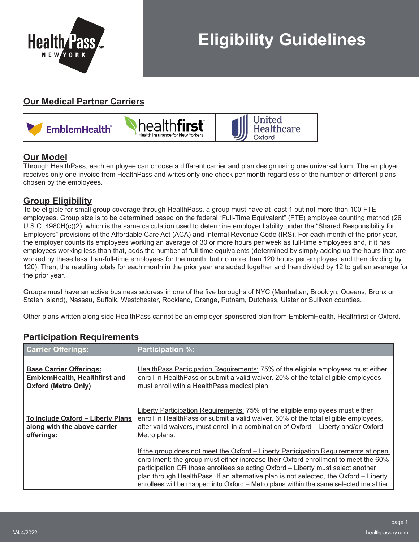

## **Our Medical Partner Carriers**



## **Our Model**

Through HealthPass, each employee can choose a different carrier and plan design using one universal form. The employer receives only one invoice from HealthPass and writes only one check per month regardless of the number of different plans chosen by the employees.

## **Group Eligibility**

To be eligible for small group coverage through HealthPass, a group must have at least 1 but not more than 100 FTE employees. Group size is to be determined based on the federal "Full-Time Equivalent" (FTE) employee counting method (26 U.S.C. 4980H(c)(2), which is the same calculation used to determine employer liability under the "Shared Responsibility for Employers" provisions of the Affordable Care Act (ACA) and Internal Revenue Code (IRS). For each month of the prior year, the employer counts its employees working an average of 30 or more hours per week as full-time employees and, if it has employees working less than that, adds the number of full-time equivalents (determined by simply adding up the hours that are worked by these less than-full-time employees for the month, but no more than 120 hours per employee, and then dividing by 120). Then, the resulting totals for each month in the prior year are added together and then divided by 12 to get an average for the prior year.

Groups must have an active business address in one of the five boroughs of NYC (Manhattan, Brooklyn, Queens, Bronx or Staten Island), Nassau, Suffolk, Westchester, Rockland, Orange, Putnam, Dutchess, Ulster or Sullivan counties.

Other plans written along side HealthPass cannot be an employer-sponsored plan from EmblemHealth, Healthfirst or Oxford.

## **Participation Requirements**

| <b>Carrier Offerings:</b>                                                                            | <b>Participation %:</b>                                                                                                                                                                                                                                                                                                                                                                                                                         |
|------------------------------------------------------------------------------------------------------|-------------------------------------------------------------------------------------------------------------------------------------------------------------------------------------------------------------------------------------------------------------------------------------------------------------------------------------------------------------------------------------------------------------------------------------------------|
| <b>Base Carrier Offerings:</b><br><b>EmblemHealth, Healthfirst and</b><br><b>Oxford (Metro Only)</b> | HealthPass Participation Requirements: 75% of the eligible employees must either<br>enroll in HealthPass or submit a valid waiver. 20% of the total eligible employees<br>must enroll with a HealthPass medical plan.                                                                                                                                                                                                                           |
| To include Oxford - Liberty Plans<br>along with the above carrier<br>offerings:                      | Liberty Participation Requirements: 75% of the eligible employees must either<br>enroll in HealthPass or submit a valid waiver. 60% of the total eligible employees,<br>after valid waivers, must enroll in a combination of Oxford – Liberty and/or Oxford –<br>Metro plans.                                                                                                                                                                   |
|                                                                                                      | If the group does not meet the Oxford – Liberty Participation Requirements at open<br>enrollment: the group must either increase their Oxford enrollment to meet the 60%<br>participation OR those enrollees selecting Oxford - Liberty must select another<br>plan through HealthPass. If an alternative plan is not selected, the Oxford - Liberty<br>enrollees will be mapped into Oxford – Metro plans within the same selected metal tier. |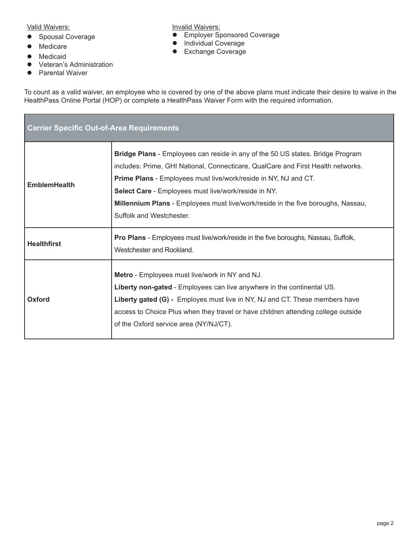Valid Waivers:

- **•** Spousal Coverage
- $\bullet$  Medicare
- $\bullet$  Medicaid
- **•** Veteran's Administration
- Parental Waiver

**•** Employer Sponsored Coverage **•** Individual Coverage

**Invalid Waivers:** 

**•** Exchange Coverage

To count as a valid waiver, an employee who is covered by one of the above plans must indicate their desire to waive in the HealthPass Online Portal (HOP) or complete a HealthPass Waiver Form with the required information.

| <b>Carrier Specific Out-of-Area Requirements</b> |                                                                                                                                                                                                                                                                                                                                                                                                                             |  |
|--------------------------------------------------|-----------------------------------------------------------------------------------------------------------------------------------------------------------------------------------------------------------------------------------------------------------------------------------------------------------------------------------------------------------------------------------------------------------------------------|--|
| <b>EmblemHealth</b>                              | <b>Bridge Plans</b> - Employees can reside in any of the 50 US states. Bridge Program<br>includes: Prime, GHI National, Connecticare, QualCare and First Health networks.<br><b>Prime Plans - Employees must live/work/reside in NY, NJ and CT.</b><br>Select Care - Employees must live/work/reside in NY.<br>Millennium Plans - Employees must live/work/reside in the five boroughs, Nassau,<br>Suffolk and Westchester. |  |
| <b>Healthfirst</b>                               | <b>Pro Plans</b> - Employees must live/work/reside in the five boroughs, Nassau, Suffolk,<br>Westchester and Rockland.                                                                                                                                                                                                                                                                                                      |  |
| Oxford                                           | <b>Metro</b> - Employees must live/work in NY and NJ.<br>Liberty non-gated - Employees can live anywhere in the continental US.<br>Liberty gated (G) - Employes must live in NY, NJ and CT. These members have<br>access to Choice Plus when they travel or have children attending college outside<br>of the Oxford service area (NY/NJ/CT).                                                                               |  |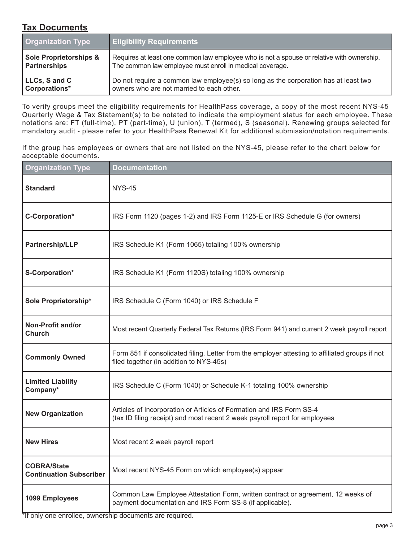## **Tax Documents**

| <b>Organization Type</b>          | <b>Eligibility Requirements</b>                                                           |
|-----------------------------------|-------------------------------------------------------------------------------------------|
| <b>Sole Proprietorships &amp;</b> | Requires at least one common law employee who is not a spouse or relative with ownership. |
| <b>Partnerships</b>               | The common law employee must enroll in medical coverage.                                  |
| LLCs, S and C                     | Do not require a common law employee(s) so long as the corporation has at least two       |
| Corporations*                     | owners who are not married to each other.                                                 |

To verify groups meet the eligibility requirements for HealthPass coverage, a copy of the most recent NYS-45 Quarterly Wage & Tax Statement(s) to be notated to indicate the employment status for each employee. These notations are: FT (full-time), PT (part-time), U (union), T (termed), S (seasonal). Renewing groups selected for mandatory audit - please refer to your HealthPass Renewal Kit for additional submission/notation requirements.

If the group has employees or owners that are not listed on the NYS-45, please refer to the chart below for acceptable documents.

| <b>Organization Type</b>                             | <b>Documentation</b>                                                                                                                                |  |
|------------------------------------------------------|-----------------------------------------------------------------------------------------------------------------------------------------------------|--|
| <b>Standard</b>                                      | <b>NYS-45</b>                                                                                                                                       |  |
| C-Corporation*                                       | IRS Form 1120 (pages 1-2) and IRS Form 1125-E or IRS Schedule G (for owners)                                                                        |  |
| <b>Partnership/LLP</b>                               | IRS Schedule K1 (Form 1065) totaling 100% ownership                                                                                                 |  |
| S-Corporation*                                       | IRS Schedule K1 (Form 1120S) totaling 100% ownership                                                                                                |  |
| Sole Proprietorship*                                 | IRS Schedule C (Form 1040) or IRS Schedule F                                                                                                        |  |
| Non-Profit and/or<br><b>Church</b>                   | Most recent Quarterly Federal Tax Returns (IRS Form 941) and current 2 week payroll report                                                          |  |
| <b>Commonly Owned</b>                                | Form 851 if consolidated filing. Letter from the employer attesting to affiliated groups if not<br>filed together (in addition to NYS-45s)          |  |
| <b>Limited Liability</b><br>Company*                 | IRS Schedule C (Form 1040) or Schedule K-1 totaling 100% ownership                                                                                  |  |
| <b>New Organization</b>                              | Articles of Incorporation or Articles of Formation and IRS Form SS-4<br>(tax ID filing receipt) and most recent 2 week payroll report for employees |  |
| <b>New Hires</b>                                     | Most recent 2 week payroll report                                                                                                                   |  |
| <b>COBRA/State</b><br><b>Continuation Subscriber</b> | Most recent NYS-45 Form on which employee(s) appear                                                                                                 |  |
| 1099 Employees                                       | Common Law Employee Attestation Form, written contract or agreement, 12 weeks of<br>payment documentation and IRS Form SS-8 (if applicable).        |  |

\*If only one enrollee, ownership documents are required.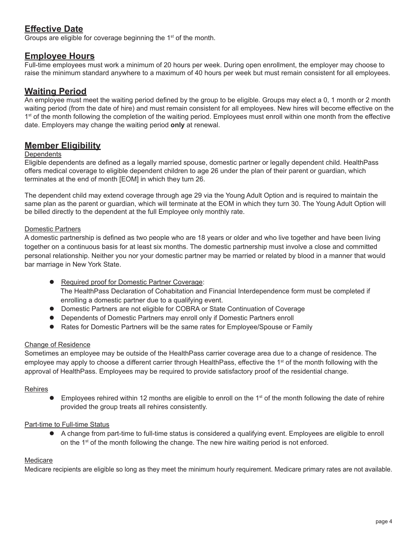## **Effective Date**

Groups are eligible for coverage beginning the 1<sup>st</sup> of the month.

### **Employee Hours**

Full-time employees must work a minimum of 20 hours per week. During open enrollment, the employer may choose to raise the minimum standard anywhere to a maximum of 40 hours per week but must remain consistent for all employees.

## **Waiting Period**

An employee must meet the waiting period defined by the group to be eligible. Groups may elect a 0, 1 month or 2 month waiting period (from the date of hire) and must remain consistent for all employees. New hires will become effective on the 1<sup>st</sup> of the month following the completion of the waiting period. Employees must enroll within one month from the effective date. Employers may change the waiting period **only** at renewal.

### **Member Eligibility**

#### **Dependents**

Eligible dependents are defined as a legally married spouse, domestic partner or legally dependent child. HealthPass offers medical coverage to eligible dependent children to age 26 under the plan of their parent or guardian, which terminates at the end of month [EOM] in which they turn 26.

The dependent child may extend coverage through age 29 via the Young Adult Option and is required to maintain the same plan as the parent or guardian, which will terminate at the EOM in which they turn 30. The Young Adult Option will be billed directly to the dependent at the full Employee only monthly rate.

#### Domestic Partners

A domestic partnership is defined as two people who are 18 years or older and who live together and have been living together on a continuous basis for at least six months. The domestic partnership must involve a close and committed personal relationship. Neither you nor your domestic partner may be married or related by blood in a manner that would bar marriage in New York State.

- **Required proof for Domestic Partner Coverage:**  The HealthPass Declaration of Cohabitation and Financial Interdependence form must be completed if enrolling a domestic partner due to a qualifying event.
- **Domestic Partners are not eligible for COBRA or State Continuation of Coverage**
- **•** Dependents of Domestic Partners may enroll only if Domestic Partners enroll
- Rates for Domestic Partners will be the same rates for Employee/Spouse or Family

#### Change of Residence

Sometimes an employee may be outside of the HealthPass carrier coverage area due to a change of residence. The employee may apply to choose a different carrier through HealthPass, effective the 1<sup>st</sup> of the month following with the approval of HealthPass. Employees may be required to provide satisfactory proof of the residential change.

#### Rehires

Employees rehired within 12 months are eligible to enroll on the 1<sup>st</sup> of the month following the date of rehire provided the group treats all rehires consistently.

#### Part-time to Full-time Status

• A change from part-time to full-time status is considered a qualifying event. Employees are eligible to enroll on the  $1<sup>st</sup>$  of the month following the change. The new hire waiting period is not enforced.

#### Medicare

Medicare recipients are eligible so long as they meet the minimum hourly requirement. Medicare primary rates are not available.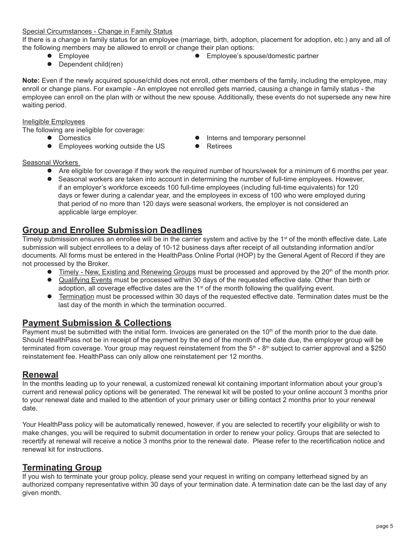#### Special Circumstances - Change in Family Status

If there is a change in family status for an employee (marriage, birth, adoption, placement for adoption, etc.) any and all of the following members may be allowed to enroll or change their plan options:

- 
- $\bullet$  Dependent child(ren)
- Employee **lack and Employee's spouse/domestic partner**

**Note:** Even if the newly acquired spouse/child does not enroll, other members of the family, including the employee, may enroll or change plans. For example - An employee not enrolled gets married, causing a change in family status - the employee can enroll on the plan with or without the new spouse. Additionally, these events do not supersede any new hire waiting period.

#### Ineligible Employees

The following are ineligible for coverage:

- 
- Employees working outside the US Retirees
- **•** Domestics **•** Interns and temporary personnel
	-

#### Seasonal Workers

- Are eligible for coverage if they work the required number of hours/week for a minimum of 6 months per year.
- **•** Seasonal workers are taken into account in determining the number of full-time employees. However, if an employer's workforce exceeds 100 full-time employees (including full-time equivalents) for 120 days or fewer during a calendar year, and the employees in excess of 100 who were employed during that period of no more than 120 days were seasonal workers, the employer is not considered an applicable large employer.

### **Group and Enrollee Submission Deadlines**

Timely submission ensures an enrollee will be in the carrier system and active by the 1<sup>st</sup> of the month effective date. Late submission will subject enrollees to a delay of 10-12 business days after receipt of all outstanding information and/or documents. All forms must be entered in the HealthPass Online Portal (HOP) by the General Agent of Record if they are not processed by the Broker.

- **Timely New, Existing and Renewing Groups must be processed and approved by the 20<sup>th</sup> of the month prior.**
- Qualifying Events must be processed within 30 days of the requested effective date. Other than birth or adoption, all coverage effective dates are the  $1<sup>st</sup>$  of the month following the qualifying event.
- **Termination** must be processed within 30 days of the requested effective date. Termination dates must be the last day of the month in which the termination occurred.

### **Payment Submission & Collections**

Payment must be submitted with the initial form. Invoices are generated on the  $10<sup>th</sup>$  of the month prior to the due date. Should HealthPass not be in receipt of the payment by the end of the month of the date due, the employer group will be terminated from coverage. Your group may request reinstatement from the  $5<sup>th</sup>$  - 8<sup>th</sup> subject to carrier approval and a \$250 reinstatement fee. HealthPass can only allow one reinstatement per 12 months.

### **Renewal**

In the months leading up to your renewal, a customized renewal kit containing important information about your group's current and renewal policy options will be generated. The renewal kit will be posted to your online account 3 months prior to your renewal date and mailed to the attention of your primary user or billing contact 2 months prior to your renewal date.

Your HealthPass policy will be automatically renewed, however, if you are selected to recertify your eligibility or wish to make changes, you will be required to submit documentation in order to renew your policy. Groups that are selected to recertify at renewal will receive a notice 3 months prior to the renewal date. Please refer to the recertification notice and renewal kit for instructions.

### **Terminating Group**

If you wish to terminate your group policy, please send your request in writing on company letterhead signed by an authorized company representative within 30 days of your termination date. A termination date can be the last day of any given month.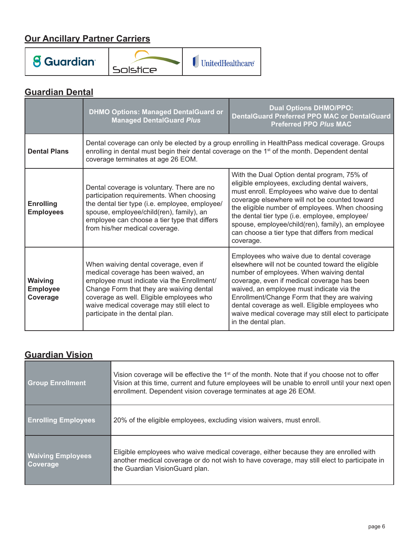# **Our Ancillary Partner Carriers**



# **Guardian Dental**

|                                               | <b>DHMO Options: Managed DentalGuard or</b><br><b>Managed DentalGuard Plus</b>                                                                                                                                                                                                                      | <b>Dual Options DHMO/PPO:</b><br><b>DentalGuard Preferred PPO MAC or DentalGuard</b><br><b>Preferred PPO Plus MAC</b>                                                                                                                                                                                                                                                                                                      |  |
|-----------------------------------------------|-----------------------------------------------------------------------------------------------------------------------------------------------------------------------------------------------------------------------------------------------------------------------------------------------------|----------------------------------------------------------------------------------------------------------------------------------------------------------------------------------------------------------------------------------------------------------------------------------------------------------------------------------------------------------------------------------------------------------------------------|--|
| <b>Dental Plans</b>                           | Dental coverage can only be elected by a group enrolling in HealthPass medical coverage. Groups<br>enrolling in dental must begin their dental coverage on the 1 <sup>st</sup> of the month. Dependent dental<br>coverage terminates at age 26 EOM.                                                 |                                                                                                                                                                                                                                                                                                                                                                                                                            |  |
| <b>Enrolling</b><br><b>Employees</b>          | Dental coverage is voluntary. There are no<br>participation requirements. When choosing<br>the dental tier type (i.e. employee, employee/<br>spouse, employee/child(ren), family), an<br>employee can choose a tier type that differs<br>from his/her medical coverage.                             | With the Dual Option dental program, 75% of<br>eligible employees, excluding dental waivers,<br>must enroll. Employees who waive due to dental<br>coverage elsewhere will not be counted toward<br>the eligible number of employees. When choosing<br>the dental tier type (i.e. employee, employee/<br>spouse, employee/child(ren), family), an employee<br>can choose a tier type that differs from medical<br>coverage. |  |
| <b>Waiving</b><br><b>Employee</b><br>Coverage | When waiving dental coverage, even if<br>medical coverage has been waived, an<br>employee must indicate via the Enrollment/<br>Change Form that they are waiving dental<br>coverage as well. Eligible employees who<br>waive medical coverage may still elect to<br>participate in the dental plan. | Employees who waive due to dental coverage<br>elsewhere will not be counted toward the eligible<br>number of employees. When waiving dental<br>coverage, even if medical coverage has been<br>waived, an employee must indicate via the<br>Enrollment/Change Form that they are waiving<br>dental coverage as well. Eligible employees who<br>waive medical coverage may still elect to participate<br>in the dental plan. |  |

# **Guardian Vision**

| <b>Group Enrollment</b>                     | Vision coverage will be effective the 1 <sup>st</sup> of the month. Note that if you choose not to offer<br>Vision at this time, current and future employees will be unable to enroll until your next open<br>enrollment. Dependent vision coverage terminates at age 26 EOM. |
|---------------------------------------------|--------------------------------------------------------------------------------------------------------------------------------------------------------------------------------------------------------------------------------------------------------------------------------|
| <b>Enrolling Employees</b>                  | 20% of the eligible employees, excluding vision waivers, must enroll.                                                                                                                                                                                                          |
| <b>Waiving Employees</b><br><b>Coverage</b> | Eligible employees who waive medical coverage, either because they are enrolled with<br>another medical coverage or do not wish to have coverage, may still elect to participate in<br>the Guardian VisionGuard plan.                                                          |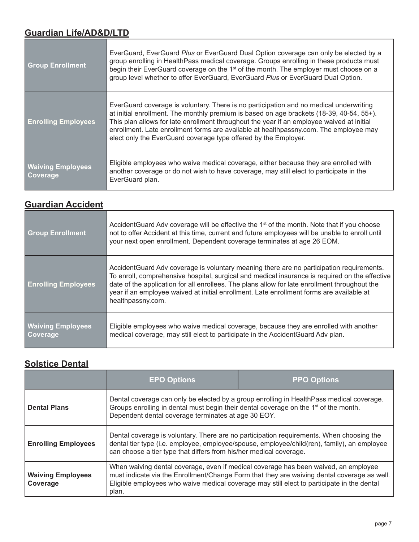# **Guardian Life/AD&D/LTD**

| <b>Group Enrollment</b>                     | EverGuard, EverGuard Plus or EverGuard Dual Option coverage can only be elected by a<br>group enrolling in HealthPass medical coverage. Groups enrolling in these products must<br>begin their EverGuard coverage on the 1 <sup>st</sup> of the month. The employer must choose on a<br>group level whether to offer EverGuard, EverGuard Plus or EverGuard Dual Option.                                                                    |  |
|---------------------------------------------|---------------------------------------------------------------------------------------------------------------------------------------------------------------------------------------------------------------------------------------------------------------------------------------------------------------------------------------------------------------------------------------------------------------------------------------------|--|
| <b>Enrolling Employees</b>                  | EverGuard coverage is voluntary. There is no participation and no medical underwriting<br>at initial enrollment. The monthly premium is based on age brackets (18-39, 40-54, 55+).<br>This plan allows for late enrollment throughout the year if an employee waived at initial<br>enrollment. Late enrollment forms are available at healthpassny.com. The employee may<br>elect only the EverGuard coverage type offered by the Employer. |  |
| <b>Waiving Employees</b><br><b>Coverage</b> | Eligible employees who waive medical coverage, either because they are enrolled with<br>another coverage or do not wish to have coverage, may still elect to participate in the<br>EverGuard plan.                                                                                                                                                                                                                                          |  |

# **Guardian Accident**

| <b>Group Enrollment</b>              | AccidentGuard Adv coverage will be effective the 1 <sup>st</sup> of the month. Note that if you choose<br>not to offer Accident at this time, current and future employees will be unable to enroll until<br>your next open enrollment. Dependent coverage terminates at age 26 EOM.                                                                                                                         |  |
|--------------------------------------|--------------------------------------------------------------------------------------------------------------------------------------------------------------------------------------------------------------------------------------------------------------------------------------------------------------------------------------------------------------------------------------------------------------|--|
| <b>Enrolling Employees</b>           | AccidentGuard Adv coverage is voluntary meaning there are no participation requirements.<br>To enroll, comprehensive hospital, surgical and medical insurance is required on the effective<br>date of the application for all enrollees. The plans allow for late enrollment throughout the<br>year if an employee waived at initial enrollment. Late enrollment forms are available at<br>healthpassny.com. |  |
| <b>Waiving Employees</b><br>Coverage | Eligible employees who waive medical coverage, because they are enrolled with another<br>medical coverage, may still elect to participate in the AccidentGuard Adv plan.                                                                                                                                                                                                                                     |  |

# **Solstice Dental**

|                                      | <b>EPO Options</b>                                                                                                                                                                                                                                                                        | <b>PPO Options</b> |  |
|--------------------------------------|-------------------------------------------------------------------------------------------------------------------------------------------------------------------------------------------------------------------------------------------------------------------------------------------|--------------------|--|
| <b>Dental Plans</b>                  | Dental coverage can only be elected by a group enrolling in Health Pass medical coverage.<br>Groups enrolling in dental must begin their dental coverage on the 1 <sup>st</sup> of the month.<br>Dependent dental coverage terminates at age 30 EOY.                                      |                    |  |
| <b>Enrolling Employees</b>           | Dental coverage is voluntary. There are no participation requirements. When choosing the<br>dental tier type (i.e. employee, employee/spouse, employee/child(ren), family), an employee<br>can choose a tier type that differs from his/her medical coverage.                             |                    |  |
| <b>Waiving Employees</b><br>Coverage | When waiving dental coverage, even if medical coverage has been waived, an employee<br>must indicate via the Enrollment/Change Form that they are waiving dental coverage as well.<br>Eligible employees who waive medical coverage may still elect to participate in the dental<br>plan. |                    |  |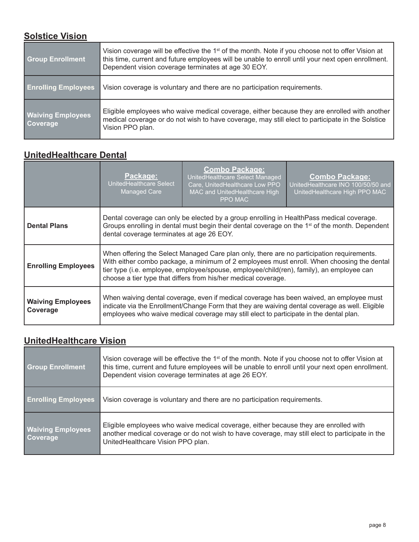# **Solstice Vision**

| <b>Group Enrollment</b>              | Vision coverage will be effective the 1 <sup>st</sup> of the month. Note if you choose not to offer Vision at<br>this time, current and future employees will be unable to enroll until your next open enrollment.<br>Dependent vision coverage terminates at age 30 EOY. |  |
|--------------------------------------|---------------------------------------------------------------------------------------------------------------------------------------------------------------------------------------------------------------------------------------------------------------------------|--|
| <b>Enrolling Employees</b>           | Vision coverage is voluntary and there are no participation requirements.                                                                                                                                                                                                 |  |
| <b>Waiving Employees</b><br>Coverage | Eligible employees who waive medical coverage, either because they are enrolled with another<br>medical coverage or do not wish to have coverage, may still elect to participate in the Solstice<br>Vision PPO plan.                                                      |  |

# **UnitedHealthcare Dental**

|                                      | Package:<br>UnitedHealthcare Select<br><b>Managed Care</b>                                                                                                                                                                                                                                                                                           | <b>Combo Package:</b><br>UnitedHealthcare Select Managed<br>Care, UnitedHealthcare Low PPO<br>MAC and UnitedHealthcare High<br>PPO MAC | <b>Combo Package:</b><br>UnitedHealthcare INO 100/50/50 and<br>UnitedHealthcare High PPO MAC |
|--------------------------------------|------------------------------------------------------------------------------------------------------------------------------------------------------------------------------------------------------------------------------------------------------------------------------------------------------------------------------------------------------|----------------------------------------------------------------------------------------------------------------------------------------|----------------------------------------------------------------------------------------------|
| <b>Dental Plans</b>                  | Dental coverage can only be elected by a group enrolling in HealthPass medical coverage.<br>Groups enrolling in dental must begin their dental coverage on the 1 <sup>st</sup> of the month. Dependent<br>dental coverage terminates at age 26 EOY.                                                                                                  |                                                                                                                                        |                                                                                              |
| <b>Enrolling Employees</b>           | When offering the Select Managed Care plan only, there are no participation requirements.<br>With either combo package, a minimum of 2 employees must enroll. When choosing the dental<br>tier type (i.e. employee, employee/spouse, employee/child(ren), family), an employee can<br>choose a tier type that differs from his/her medical coverage. |                                                                                                                                        |                                                                                              |
| <b>Waiving Employees</b><br>Coverage | When waiving dental coverage, even if medical coverage has been waived, an employee must<br>indicate via the Enrollment/Change Form that they are waiving dental coverage as well. Eligible<br>employees who waive medical coverage may still elect to participate in the dental plan.                                                               |                                                                                                                                        |                                                                                              |

# **UnitedHealthcare Vision**

| <b>Group Enrollment</b>                     | Vision coverage will be effective the 1 <sup>st</sup> of the month. Note if you choose not to offer Vision at<br>this time, current and future employees will be unable to enroll until your next open enrollment.<br>Dependent vision coverage terminates at age 26 EOY. |  |
|---------------------------------------------|---------------------------------------------------------------------------------------------------------------------------------------------------------------------------------------------------------------------------------------------------------------------------|--|
| <b>Enrolling Employees</b>                  | Vision coverage is voluntary and there are no participation requirements.                                                                                                                                                                                                 |  |
| <b>Waiving Employees</b><br><b>Coverage</b> | Eligible employees who waive medical coverage, either because they are enrolled with<br>another medical coverage or do not wish to have coverage, may still elect to participate in the<br>UnitedHealthcare Vision PPO plan.                                              |  |